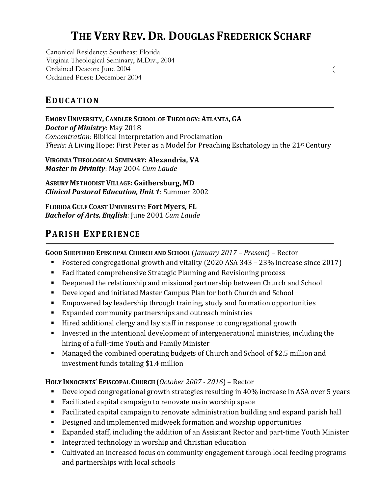# **THE VERY REV. DR. DOUGLAS FREDERICK SCHARF**

(

Canonical Residency: Southeast Florida Virginia Theological Seminary, M.Div., 2004 Ordained Deacon: June 2004 Ordained Priest: December 2004

**EDUCATION**

**EMORY UNIVERSITY, CANDLER SCHOOL OF THEOLOGY: ATLANTA, GA** *Doctor of Ministry:* May 2018 *Concentration:* Biblical Interpretation and Proclamation Thesis: A Living Hope: First Peter as a Model for Preaching Eschatology in the 21<sup>st</sup> Century

**VIRGINIA THEOLOGICAL SEMINARY: Alexandria, VA** *Master in Divinity*: May 2004 *Cum Laude* 

**ASBURY METHODIST VILLAGE: Gaithersburg, MD** *Clinical Pastoral Education, Unit 1: Summer 2002* 

**FLORIDA GULF COAST UNIVERSITY: Fort Myers, FL** *Bachelor of Arts, English:* June 2001 *Cum Laude* 

## PARISH EXPERIENCE

GOOD SHEPHERD EPISCOPAL CHURCH AND SCHOOL (*January 2017 – Present*) – Rector

- Fostered congregational growth and vitality (2020 ASA 343 23% increase since 2017)
- Facilitated comprehensive Strategic Planning and Revisioning process
- Deepened the relationship and missional partnership between Church and School
- Developed and initiated Master Campus Plan for both Church and School
- Empowered lay leadership through training, study and formation opportunities
- Expanded community partnerships and outreach ministries
- Hired additional clergy and lay staff in response to congregational growth
- **•** Invested in the intentional development of intergenerational ministries, including the hiring of a full-time Youth and Family Minister
- Managed the combined operating budgets of Church and School of \$2.5 million and investment funds totaling \$1.4 million

#### **HOLY INNOCENTS' EPISCOPAL CHURCH** (*October 2007 - 2016*) – Rector

- Developed congregational growth strategies resulting in 40% increase in ASA over 5 years
- Facilitated capital campaign to renovate main worship space
- Facilitated capital campaign to renovate administration building and expand parish hall
- Designed and implemented midweek formation and worship opportunities
- Expanded staff, including the addition of an Assistant Rector and part-time Youth Minister
- Integrated technology in worship and Christian education
- Cultivated an increased focus on community engagement through local feeding programs and partnerships with local schools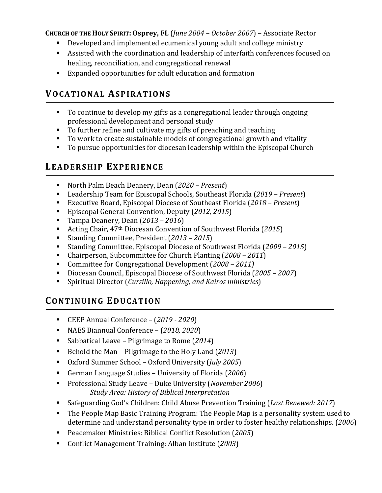#### **CHURCH OF THE HOLY SPIRIT: Osprey, FL** (*June 2004 – October 2007*) – Associate Rector

- Developed and implemented ecumenical young adult and college ministry
- Assisted with the coordination and leadership of interfaith conferences focused on healing, reconciliation, and congregational renewal
- Expanded opportunities for adult education and formation

### **VOCATIONAL ASPIRATIONS**

- To continue to develop my gifts as a congregational leader through ongoing professional development and personal study
- $\blacksquare$  To further refine and cultivate my gifts of preaching and teaching
- To work to create sustainable models of congregational growth and vitality
- $\blacksquare$  To pursue opportunities for diocesan leadership within the Episcopal Church

### LEADERSHIP EXPERIENCE

- North Palm Beach Deanery, Dean (2020 Present)
- Leadership Team for Episcopal Schools, Southeast Florida (2019 *Present*)
- Executive Board, Episcopal Diocese of Southeast Florida (2018  *Present*)
- Episcopal General Convention, Deputy (2012, 2015)
- Tampa Deanery, Dean (2013 2016)
- Acting Chair, 47<sup>th</sup> Diocesan Convention of Southwest Florida (2015)
- Standing Committee, President (2013 2015)
- Standing Committee, Episcopal Diocese of Southwest Florida (2009 2015)
- Chairperson, Subcommittee for Church Planting (2008 2011)
- Committee for Congregational Development (2008 2011)
- Diocesan Council, Episcopal Diocese of Southwest Florida (2005 2007)
- Spiritual Director (*Cursillo, Happening, and Kairos ministries*)

#### **CONTINUING EDUCATION**

- CEEP Annual Conference (2019 2020)
- NAES Biannual Conference (2018, 2020)
- Sabbatical Leave Pilgrimage to Rome (2014)
- Behold the Man Pilgrimage to the Holy Land (2013)
- Oxford Summer School Oxford University (*July 2005*)
- German Language Studies University of Florida (2006)
- Professional Study Leave Duke University (*November 2006*) *Study Area: History of Biblical Interpretation*
- Safeguarding God's Children: Child Abuse Prevention Training (*Last Renewed: 2017*)
- The People Map Basic Training Program: The People Map is a personality system used to determine and understand personality type in order to foster healthy relationships. (2006)
- Peacemaker Ministries: Biblical Conflict Resolution (2005)
- Conflict Management Training: Alban Institute (2003)